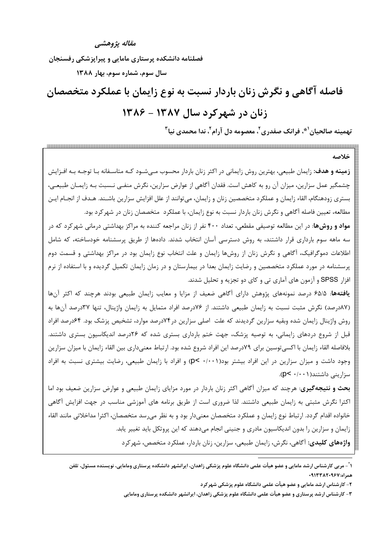مقاله پژوهشپې

فصلنامه دانشکده پرستاری مامایی و پیراپزشکی رفسنجان

سال سوم، شماره سوم، بهار ١٣٨٨

# فاصله آگاهی و نگرش زنان باردار نسبت به نوع زایمان با عملکرد متخصصان زنان در شهرکرد سال ۱۳۸۷ - ۱۳۸۶

تهمينه صالحيان`\*، فرانک صفدري`، معصومه دل آرام`، ندا محمدي نيا ّ

خلاصه

**زمینه و هدف:** زایمان طبیعی، بهترین روش زایمانی در اکثر زنان باردار محسوب مـی.شـود کـه متاسـفانه بـا توجـه بـه افـزایش چشمگیر عمل سزارین، میزان آن رو به کاهش است. فقدان آگاهی از عوارض سزارین، نگرش منفـی نـسبت بـه زایمـان طبیعـی، بستري زودهنگام، القاء زايمان و عملكرد متخصصين زنان و زايمان، ميتوانند از علل افزايش سزارين باشـند. هـدف از انجـام ايـن مطالعه، تعیین فاصله آگاهی و نگرش زنان باردار نسبت به نوع زایمان، با عملکرد متخصصان زنان در شهرکرد بود.

<mark>مواد و روش۵</mark>ا: در این مطالعه توصیفی مقطعی، تعداد ۴۰۰ نفر از زنان مراجعه کننده به مراکز بهداشتی درمانی شهرکرد که در سه ماهه سوم بارداری قرار داشتند، به روش دسترسی آسان انتخاب شدند. دادهها از طریق پرسشنامه خودساخته، که شامل اطلاعات دموگرافیک، آگاهی و نگرش زنان از روشها زایمان و علت انتخاب نوع زایمان بود در مراکز بهداشتی و قسمت دوم پرسشنامه در مورد عملکرد متخصصین و رضایت زایمان بعدا در بیمارستان و در زمان زایمان تکمیل گردیده و با استفاده از نرم افزار SPSS و آزمون های آماری تی و کای دو تجزیه و تحلیل شدند.

یافتهها: ۶۵/۵ درصد نمونههای پژوهش دارای آگاهی ضعیف از مزایا و معایب زایمان طبیعی بودند هرچند که اکثر آنها (۸۷درصد) نگرش مثبت نسبت به زایمان طبیعی داشتند. از ۷۶درصد افراد متمایل به زایمان واژینال، تنها ۳۷درصد آنها به روش واژینال زایمان شده وبقیه سزارین گردیدند که علت اصلی سزارین در ۷۴درصد موارد، تشخیص پزشک بود. ۶۴درصد افراد قبل از شروع دردهای زایمانی، به توصیه پزشک، جهت ختم بارداری بستری شده که ۲۶درصد اندیکاسیون بستری داشتند. بلافاصله القاء زايمان با اكسىتوسين براى ٧٩درصد اين افراد شروع شده بود. ارتباط معنىدارى بين القاء زايمان با ميزان سزارين وجود داشت و میزان سزارین در این افراد بیشتر بود(۰/۰۰۱ ×p) و افراد با زایمان طبیعی، رضایت بیشتری نسبت به افراد  $(p< \cdot/\cdot \cdot)$ سزارینی داشتند

بحث و نتیجهگیری: هرچند که میزان آگاهی اکثر زنان باردار در مورد مزایای زایمان طبیعی و عوارض سزارین ضعیف بود اما اکثرا نگرش مثبتی به زایمان طبیعی داشتند. لذا ضروری است از طریق برنامه های آموزشی مناسب در جهت افزایش آگاهی خانواده اقدام گردد. ارتباط نوع زايمان و عملكرد متخصصان معنىدار بود و به نظر مىرسد متخصصان، اكثرا مداخلاتى مانند القاء زایمان و سزارین را بدون اندیکاسیون مادری و جنینی انجام میدهند که این پروتکل باید تغییر یابد. واژههای کلیدی: آگاهی، نگرش، زایمان طبیعی، سزارین، زنان باردار، عملکرد متخصص، شهر کرد

١ ْ – مربى كارشناس ارشد مامايي و عضو هيأت علمي دانشگاه علوم پزشكي زاهدان، ايرانشهر دانشكده پرستاري ومامايي، نويسنده مسئول، تلفن همراه:٩١٢٠٩۶٧٠٩٠

۲- کارشناس ارشد مامایی و عضو هیأت علمی دانشگاه علوم پزشکی شهرکرد

۳- کارشناس ارشد پرستاری و عضو هیأت علمی دانشگاه علوم پزشکی زاهدان، ایرانشهر دانشکده پرستاری ومامایی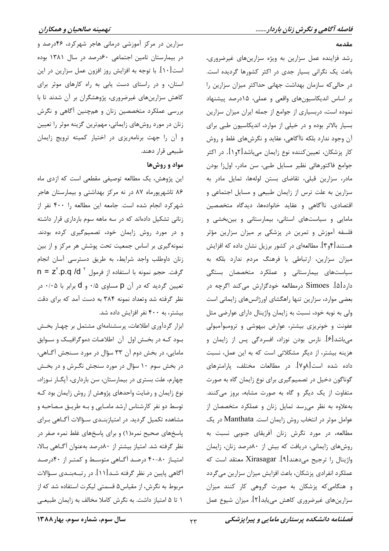مقدمه

رشد فزاینده عمل سزارین به ویژه سزارینهای غیرضروری، باعث یک نگرانی بسیار جدی در اکثر کشورها گردیده است. در حالی که سازمان بهداشت جهانی حداکثر میزان سزارین را بر اساس اندیکاسیونهای واقعی و عملی، ۱۵درصد پیشنهاد نموده است، دربسیاری از جوامع از جمله ایران میزان سزارین بسیار بالاتر بوده و در خیلی از موارد، اندیکاسیون طبی برای آن وجود ندارد بلکه ناآگاهی، عقاید و نگرشهای غلط و روش کار پزشکان، تعیینکننده نوع زایمان میباشد[۲و۱]. در اکثر جوامع فاكتورهائي نظير مسايل طبي، سن مادر، اول;ا بودن مادر، سزارین قبلی، تقاضای بستن لولهها، تمایل مادر به سزارین به علت ترس از زایمان طبیعی و مسایل اجتماعی و اقتصادی، ناآگاهی و عقاید خانوادهها، دیدگاه متخصصین مامایی و سیاستهای استانی، بیمارستانی و بینبخشی و فلسفه آموزش و تمرین در پزشکی بر میزان سزارین مؤثر هستند[۴و۳]. مطالعهای در کشور برزیل نشان داده که افزایش میزان سزارین، ارتباطی با فرهنگ مردم ندارد بلکه به سیاستهای بیمارستانی و عملکرد متخصصان بستگی دارد[۵]. Simoes درمطالعه خودگزارش می کند اگرچه در بعضی موارد، سزارین تنها راهگشای اورژانسهای زایمانی است ولی به نوبه خود، نسبت به زایمان واژینال دارای عوارضی مثل عفونت و خونریزی بیشتر، عوارض بیهوشی و ترومبوآمبولی میباشد[۶]. نارس بودن نوزاد، افسردگی پس از زایمان و هزینه بیشتر، از دیگر مشکلاتی است که به این عمل، نسبت داده شده است[۸و۷]. در مطالعات مختلف، پارامترهای گوناگون دخیل در تصمیم گیری برای نوع زایمان گاه به صورت متفاوت از یک دیگر و گاه به صورت مشابه، بروز میکنند. به علاوه به نظر می رسد تمایل زنان و عملکرد متخصصان از عوامل موثر در انتخاب روش زايمان است. Manthata در يک مطالعه، در مورد نگرش زنان آفریقای جنوبی نسبت به روشهای زایمانی، دریافت که بیش از ۸۰درصد زنان، زایمان واژینال را ترجیح میدهند[۹]. Xirasagar معتقد است که عملکرد انفرادی پزشکان، باعث افزایش میزان سزارین میگردد و هنگامی که پزشکان به صورت گروهی کار کنند میزان سزارینهای غیرضروری کاهش مییابد[۲]. میزان شیوع عمل

سزارین در مرکز آموزشی درمانی هاجر شهرکرد، ۴۶درصد و در بیمارستان تامین اجتماعی ۶۰درصد در سال ۱۳۸۱ بوده است[۱۰]. با توجه به افزایش روز افزون عمل سزارین در این استان، و در راستای دست یابی به راه کارهای موثر برای کاهش سزارینهای غیرضروری، پژوهشگران بر آن شدند تا با بررسی عملکرد متخصصین زنان و همچنین آگاهی و نگرش زنان در مورد روشهای زایمانی، مهمترین گزینه موثر را تعیین و آن را جهت برنامهريزي در اختيار كميته ترويج زايمان طبیعی قرار دهند.

## مواد و روشها

این پژوهش، یک مطالعه توصیفی مقطعی است که ازدی ماه ۸۶ تاشهریورماه ۸۷ در نه مرکز بهداشتی و بیمارستان هاجر شهرکرد انجام شده است. جامعه این مطالعه ۱٫ ۴۰۰ نفر از زنانی تشکیل دادهاند که در سه ماهه سوم بارداری قرار داشته و در مورد روش زایمان خود، تصمیمگیری کرده بودند. نمونهگیری بر اساس جمعیت تحت پوشش هر مرکز و از بین زنان داوطلب واجد شرايط، به طريق دسترسى آسان انجام  $n = z^{r}.p.q/d^{r}$  گرفت. حجم نمونه با استفاده از فرمول n = z<sup>r</sup>.p.q /d  $\bar{z}$ تعیین گردید که در آن p مساوی ۰/۵ و d برابر با ۰/۰۵ در نظر گرفته شد وتعداد نمونه ۳۸۴ به دست آمد که برای دقت بیشتر، به ۴۰۰ نفر افزایش داده شد.

ابزار گردآوری اطلاعات، پرسشنامهای مشتمل بر چهار بخش بــود کــه در بخــش اول آن اطلاعــات دموگرافيــک و ســوابق مامایی، در بخش دوم آن ۳۳ سؤال در مورد سـنجش آگـاهی، در بخش سوم ۱۰ سؤال در مورد سنجش نگـرش و در بخـش چهارم، علت بستری در بیمارستان، سن بارداری، آیگ( نوزاد، نوع زایمان و رضایت واحدهای پژوهش از روش زایمان بود کـه توسط دو نفر کارشناس ارشد مامـايي و بـه طريـق مـصاحبه و مشاهده تکمیل گردید. در امتیازبنـدی سـؤالات آگـاهی بـرای پاسخهای صحیح نمره(۱) و برای پاسخهای غلط نمره صفر در نظر گرفته شد. امتياز بيشتر از ٨٠درصد بهعنوان آگـاهي بـالا، امتیاز ۸۰-۴۰ درصد آگاهی متوسط و کمتر از ۴۰درصد آگاهی پایین در نظر گرفته شـد[۱۱]. در رتبــهبنــدی ســؤالات مربوط به نگرش، از مقیاس ۵ قسمتی لیکرت استفاده شد که از ١ تا ۵ امتياز داشت. به نگرش كاملا مخالف به زايمان طبيعي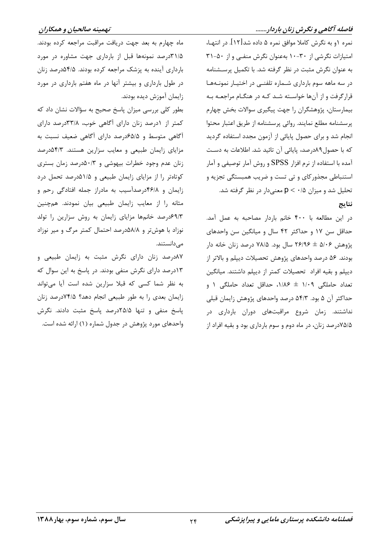#### فاصله آگاهی و نگرش زنان باردار.......

نمره ۱و به نگرش کاملا موافق نمره ۵ داده شد[۱۲]. در انتهـا، امتیازات نگرشی از ۳۰-۱۰ بهعنوان نگرش منفی و از ۵۰-۳۱ به عنوان نگرش مثبت در نظر گرفته شد. با تکمیل پرسشنامه در سه ماهه سوم بارداری شـماره تلفنـی در اختیـار نمونـههـا قرارگرفت و از آنها خواسته شد کـه در هنگـام مراجعـه بـه بیمارستان، پژوهشگران را جهت پیگیری سوالات بخش چهارم پرسشنامه مطلع نمايند. روائي پرسشنامه از طريق اعتبار محتوا انجام شد و برای حصول پایائی از آزمون مجدد استفاده گردید كه با حصول٨٩درصد، پايائي آن تائيد شد. اطلاعات به دست آمده با استفاده از نرم افزار SPSS و روش آمار توصیفی و آمار استنباطی مجذورکای و تی تست و ضریب همبستگی تجزیه و تحلیل شد و میزان p < · /۵ معنیدار در نظر گرفته شد. نتايج

در اين مطالعه با ۴۰۰ خانم باردار مصاحبه به عمل آمد. حداقل سن ١٧ و حداكثر ۴۲ سال و ميانگين سن واحدهاى پژوهش ۵/۰۶ ± ۲۶/۹۶ سال بود. ۷۸/۵ درصد زنان خانه دار بودند. ۵۶ درصد واحدهای پژوهش تحصیلات دیپلم و بالاتر از دیپلم و بقیه افراد تحصیلات کمتر از دیپلم داشتند. میانگین تعداد حاملگی ۱/۰۹ ± ۱/۸۶، حداقل تعداد حاملگی ۱ و حداكثر آن ۵ بود. ۵۴/۳ درصد واحدهای پژوهش زایمان قبلی نداشتند. زمان شروع مراقبتهای دوران بارداری در ۷۵/۵درصد زنان، در ماه دوم و سوم بارداری بود و بقیه افراد از

ماه چهارم به بعد جهت دريافت مراقبت مراجعه كرده بودند. ۰۱/۵درصد نمونهها قبل از بارداری جهت مشاوره در مورد بارداری آینده به پزشک مراجعه کرده بودند. ۵/۵۴ درصد زنان در طول بارداری و بیشتر آنها در ماه هفتم بارداری در مورد زايمان آموزش ديده بودند.

بطور کلی بررسی میزان پاسخ صحیح به سؤالات نشان داد که کمتر از ۱درصد زنان دارای آگاهی خوب، ۳۳/۸درصد دارای آگاهی متوسط و ۶۵/۵درصد دارای آگاهی ضعیف نسبت به مزایای زایمان طبیعی و معایب سزارین هستند. ۵۴/۳درصد زنان عدم وجود خطرات بیهوشی و ۵۰/۳درصد زمان بستری کوتاهتر را از مزایای زایمان طبیعی و ۵/۱۵درصد تحمل درد زایمان و ۴۶/۸درصدآسیب به مادراز جمله افتادگی رحم و مثانه را از معایب زایمان طبیعی بیان نمودند. همچنین ۶۹/۳درصد خانمها مزایای زایمان به روش سزارین را تولد نوزاد با هوش تر و ۵۸/۸درصد احتمال کمتر مرگ و میر نوزاد مے دانستند.

٨٧درصد زنان دارای نگرش مثبت به زايمان طبيعي و ١٣درصد داراي نگرش منفي بودند. در پاسخ به اين سوال كه به نظر شما کسی که قبلا سزارین شده است آیا میتواند زایمان بعدی را به طور طبیعی انجام دهد؟ ۷۴/۵درصد زنان پاسخ منفی و تنها ۲۵/۵درصد پاسخ مثبت دادند. نگرش واحدهای مورد پژوهش در جدول شماره (۱) ارائه شده است.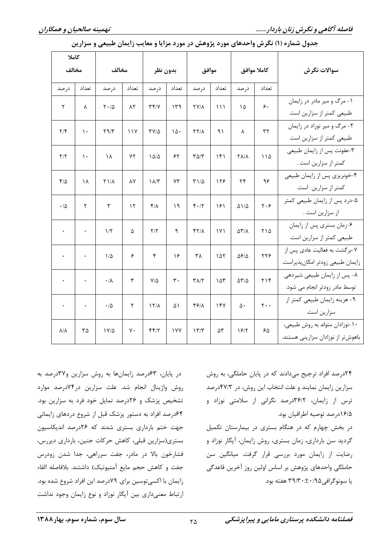| كاملا                   |               |                             |                   |                                |                |                             |                                    |                             |                               |                                                                     |
|-------------------------|---------------|-----------------------------|-------------------|--------------------------------|----------------|-----------------------------|------------------------------------|-----------------------------|-------------------------------|---------------------------------------------------------------------|
| مخالف                   |               | مخالف                       |                   | بدون نظر                       |                | موافق                       |                                    | كاملا موافق                 |                               | سوالات نگرش                                                         |
| درصد                    | تعداد         | در صد                       | تعداد             | در صد                          | تعداد          | در صد                       | تعداد                              | در صد                       | تعداد                         |                                                                     |
| ٢                       | λ             | $\mathbf{Y} \cdot / \Delta$ | $\lambda\Upsilon$ | $\Upsilon \Upsilon / \Upsilon$ | ۱۳۹            | $\Upsilon V/\Lambda$        | $\binom{1}{1}$                     | ١۵                          | $\zeta$                       | ۱- مرگ و میر مادر در زایمان<br>طبیعی کمتر از سزارین است             |
| $\mathbf{Y}/\mathbf{F}$ | ١.            | $\Upsilon$ 9/ $\Upsilon$    | ۱۱۷               | $\Upsilon V/\Delta$            | $\mathcal{N}$  | $\Upsilon\Upsilon/\Lambda$  | ۹۱                                 | λ                           | $\tau\tau$                    | ۲- مرگ و میر نوزاد در زایمان<br>طبیعی کمتر از سزارین است            |
| $\Upsilon/\Upsilon$     | $\mathcal{L}$ | ١٨                          | ٧٢                | $1\Delta/\Delta$               | ۶۲             | $T\Delta/T$                 | ۱۴۱                                | $\Upsilon \Lambda/\Lambda$  | 110                           | ٣-عفونت پس از زايمان طبيعي<br>كمتر از سزارين است .                  |
| $f/\Delta$              | ١٨            | $Y$ $/\Lambda$              | ٨Y                | $\lambda/\tau$                 | $Y\tau$        | $T1/\Delta$                 | 159                                | $\mathbf{r}$                | ۹۶                            | ۴-خونریزی پس از زایمان طبیعی<br>كمتر از سزارين است.                 |
| $\cdot/\Delta$          | ٢             | $\mathbf{\breve{r}}$        | $\mathcal{N}$     | $f/\lambda$                    | ١٩             | $f \cdot / \tau$            | ۱۶۱                                | $\Delta$ \/ $\Delta$        | $\mathbf{y} \cdot \mathbf{y}$ | ۵-درد پس از زایمان طبیعی کمتر<br>از سزارين است .                    |
| $\bullet$               | $\bullet$     | 1/5                         | ۵                 | $\Upsilon/\Upsilon$            | ٩              | $YY/\lambda$                | $\mathsf{I} \mathsf{V} \mathsf{I}$ | $\Delta \Upsilon / \Lambda$ | ۲۱۵                           | ۶-زمان بستری پس از زایمان<br>طبیعی کمتر از سزارین است.              |
| $\bullet$               | $\bullet$     | $1/\Delta$                  | ۶                 | ۴                              | ۱۶             | ٣٨                          | ۱۵۲                                | $\Delta$ ۶/۵                | ٢٢۶                           | ۷-برگشت به فعالیت عادی پس از<br>زايمان طبيعي زودتر امكان پذيراست.   |
|                         | $\bullet$     | $\cdot/\lambda$             | ٣                 | $V/\Delta$                     | $\mathbf{r}$ . | $\Upsilon \Lambda/\Upsilon$ | ۱۵۳                                | $\Delta \Upsilon/\Delta$    | 719                           | ٨- پس از زايمان طبيعي شيردهي<br>توسط مادر زودتر انجام می شود.       |
| $\bullet$               | $\bullet$     | $\cdot/\Delta$              | ٢                 | $17/\lambda$                   | ۵۱             | $\mathbf{Y}$                | 154                                | $\Delta$ .                  | $\mathbf{r} \cdot \cdot$      | ۹- هزينه زايمان طبيعي كمتر از<br>سزارين است.                        |
| $\lambda/\lambda$       | ٣۵            | $1 V/\Delta$                | $\mathsf{v}\cdot$ | FF/7                           | <b>IVY</b>     | 177                         | ۵٣                                 | 19/7                        | $\mathcal{S}\Delta$           | ۱۰-نوزادان متولد به روش طبیعی،<br>باهوشتر از نوزادان سزاريني هستند. |

جدول شماره (۱) نگرش واحدهای مورد پژوهش در مورد مزایا و معایب زایمان طبیعی و سزارین

در پایان، ۶۳درصد زایمانها به روش سزارین و۳۷درصد به روش واژینال انجام شد. علت سزارین در ۷۴درصد موارد تشخیص پزشک و ۲۶درصد تمایل خود فرد به سزارین بود. ۶۴درصد افراد به دستور پزشک قبل از شروع دردهای زایمانی جهت ختم بارداری بستری شدند که ۲۶درصد اندیکاسیون بستری(سزارین قبلی، کاهش حرکات جنین، بارداری دیررس، فشارخون بالا در مادر، جفت سرراهی، جدا شدن زودرس جفت و كاهش حجم مايع آمنيوتيك) داشتند. بلافاصله القاء زایمان با اکسی توسین برای ۷۹درصد این افراد شروع شده بود. ارتباط معنیداری بین آپگار نوزاد و نوع زایمان وجود نداشت ۲۴درصد افراد ترجیح میدادند که در پایان حاملگی، به روش سزارین زایمان نمایند و علت انتخاب این روش، در ۴۷/۳درصد ترس از زایمان، ۳۶/۲درصد نگرانی از سلامتی نوزاد و ۱۶/۵درصد توصيه اطرافيان بود.

در بخش چهارم که در هنگام بستری در بیمارستان تکمیل گردید سن بارداری، زمان بستری، روش زایمان، آپگار نوزاد و رضایت از زایمان مورد بررسی قرار گرفت. میانگین سن حاملگی واحدهای پژوهش بر اساس اولین روز آخرین قاعدگی یا سونوگرافی ۳۹/۳۰±۰/۹۵ هفته بود.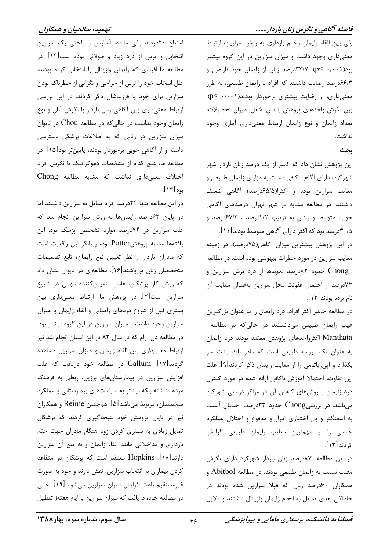#### فاصله آگاهی و نگرش زنان باردار.......

ولی بین القاء زایمان وختم بارداری به روش سزارین، ارتباط معنیداری وجود داشت و میزان سزارین در این گروه بیشتر بود(۰/۰۰۱ -p). ۳۳/۷درصد زنان از زایمان خود ناراضی و ۶۶/۳درصد رضایت داشتند که افراد با زایمان طبیعی، به طرز معنیداری، از رضایت بیشتری برخوردار بودند(۰/۰۰۱). بين نگرش واحدهاى پژوهش با سن، شغل، ميزان تحصيلات، تعداد زایمان و نوع زایمان ارتباط معنیداری آماری وجود نداشت.

#### بحث

این پژوهش نشان داد که کمتر از یک درصد زنان باردار شهر شهرکرد، دارای آگاهی کافی نسبت به مزایای زایمان طبیعی و معايب سزارين بوده و اكثرا(۶۵/۵م، صد) آگاهي ضعيف داشتند. در مطالعه مشابه در شهر تهران درصدهای آگاهی خوب، متوسط و پائین به ترتیب ۲/۲درصد ، ۶۷/۳درصد و ۰/۵/ ۳۰درصد بود که اکثر دارای آگاهی متوسط بودند[۱۱].

در این پژوهش بیشترین میزان آگاهی(۷۵درصد)، در زمینه معایب سزارین در مورد خطرات بیهوشی بوده است. در مطالعه

Chong حدود ۸۲درصد نمونهها از درد برش سزارین و ٧۴درصد از احتمال عفونت محل سزارين بهعنوان معايب آن نام برده بودند [١٣].

در مطالعه حاضر اکثر افراد، درد زایمان را به عنوان بزرگترین عیب زایمان طبیعی میدانستند در حالی که در مطالعه Manthata اکثرواحدهای پژوهش معتقد بودند درد زایمان به عنوان یک پروسه طبیعی است که مادر باید پشت سر بگذارد و اپیزیاتومی را از معایب زایمان ذکر کردند[۹]. علت این تفاوت، احتمالا آموزش ناکافی ارائه شده در مورد کنترل درد زایمان و روشهای کاهش آن در مراکز درمانی شهرکرد میباشد. در بررسیChong حدود ۳۳درصد، احتمال آسیب به اسفنگتر و بی اختیاری ادرار و مدفوع و اختلال عملکرد جنسی را از مهمترین معایب زایمان طبیعی گزارش کردند[۱۳].

در این مطالعه، ۸۷درصد زنان باردار شهرکرد دارای نگرش مثبت نسبت به زایمان طبیعی بودند. در مطالعه Abitbol و همکاران ۶۰درصد زنان که قبلا سزارین شده بودند در حاملگی بعدی تمایل به انجام زایمان واژینال داشتند و دلایل

امتناع ۴۰درصد باقی مانده، آسایش و راحتی یک سزارین انتخابی و ترس از درد زیاد و طولانی بوده است[۱۴]. در مطالعه ما افرادي كه زايمان واژينال را انتخاب كرده بودند، علل انتخاب خود را ترس از جراحی و نگرانی از خطرناک بودن سزارین برای خود یا فرزندشان ذکر کردند. در این بررسی ارتباط معنیداری بین أگاهی زنان باردار با نگرش آنان و نوع زایمان وجود نداشت در حالی که در مطالعه Chou در تایوان میزان سزارین در زنانی که به اطلاعات پزشکی دسترسی داشته و از آگاهی خوبی برخوردار بودند، پایینتر بود[۱۵]. در مطالعه ما، هيچ كدام از مشخصات دموگرافيک با نگرش افراد اختلاف معنى دارى نداشت كه مشابه مطالعه Chong بود[۱۳].

در این مطالعه تنها ۲۴درصد افراد تمایل به سزارین داشتند اما در پایان ۶۳درصد زایمانها به روش سزارین انجام شد که علت سزارین در ۷۴درصد موارد تشخیص پزشک بود. این يافتهها مشابه پژوهشPotter بوده وبيانگر اين واقعيت است كه مادران باردار از نظر تعيين نوع زايمان، تابع تصميمات متخصصان زنان میباشند[۱۶]. مطالعهای در تایوان نشان داد که روش کار پزشکان، عامل تعیینکننده مهمی در شیوع سزارین است[۲]. در پژوهش ما، ارتباط معنیداری بین بستری قبل از شروع دردهای زایمانی و القاء زایمان با میزان سزارین وجود داشت و میزان سزارین در این گروه بیشتر بود. در مطالعه دل آرام که در سال ۸۳ در این استان انجام شد نیز ارتباط معنىدارى بين القاء زايمان و ميزان سزارين مشاهده گردید[۱۷]. Callum در مطالعه خود دریافت که علت افزایش سزارین در بیمارستانهای برزیل، ربطی به فرهنگ مردم نداشته بلکه بیشتر به سیاستهای بیمارستانی و عملکرد متخصصان، مربوط می باشد[۵]. همچنین Reime و همکاران نیز در پایان پژوهش خود نتیجهگیری کردند که پزشکان تمایل زیادی به بستری کردن زود هنگام مادران جهت ختم بارداری و مداخلاتی مانند القاء زایمان و به تبع آن سزارین دارند[۱۸]. Hopkins معتقد است که پزشکان در متقاعد کردن بیماران به انتخاب سزارین، نقش دارند و خود به صورت غيرمستقيم باعث افزايش ميزان سزارين مي شوند[١٩]. خاني در مطالعه خود، دریافت که میزان سزارین با ایام هفته( تعطیل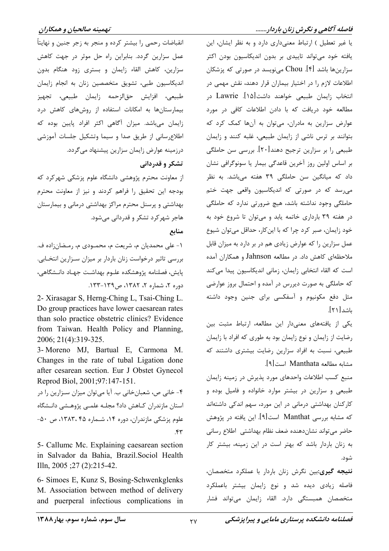#### فاصله آگاهی و نگرش زنان باردار.......

یا غیر تعطیل ) ارتباط معنیداری دارد و به نظر ایشان، این یافته خود میتواند تاییدی بر بدون اندیکاسیون بودن اکثر سزارینها باشد [۴]. Chou مینویسد در صورتی که پزشکان اطلاعات لازم را در اختیار بیماران قرار دهند، نقش مهمی در انتخاب زایمان طبیعی خواهند داشت[۱۵]. Lawrie در مطالعه خود دریافت که با دادن اطلاعات کافی در مورد عوارض سزارین به مادران، میتوان به آنها کمک کرد که بتوانند بر ترس ناشی از زایمان طبیعی، غلبه کنند و زایمان طبیعی را بر سزارین ترجیح دهند[۲۰]. بررسی سن حاملگی بر اساس اولین روز آخرین قاعدگی بیمار یا سونوگرافی نشان داد که میانگین سن حاملگی ۳۹ هفته میباشد. به نظر می رسد که در صورتی که اندیکاسیون واقعی جهت ختم حاملگی وجود نداشته باشد، هیچ ضرورتی ندارد که حاملگی در هفته ۳۹ بارداری خاتمه یابد و میتوان تا شروع خود به خود زایمان، صبر کرد چرا که با این کار، حداقل میتوان شیوع عمل سزارین را که عوارض زیادی هم در بر دارد به میزان قابل ملاحظهای کاهش داد. در مطالعه Jahnson و همکاران آمده است كه القاء انتخابي زايمان، زماني انديكاسيون پيدا ميكند که حاملگی به صورت دیررس در آمده و احتمال بروز عوارضی مثل دفع مکونیوم و آسفکسی برای جنین وجود داشته باشد[۲۱].

یکی از یافتههای معنیدار این مطالعه، ارتباط مثبت بین رضایت از زایمان و نوع زایمان بود به طوری که افراد با زایمان طبیعی، نسبت به افراد سزارین رضایت بیشتری داشتند که مشابه مطالعه Manthata است[۹].

منبع کسب اطلاعات واحدهای مورد پذیرش در زمینه زایمان طبیعی و سزارین در بیشتر موارد خانواده و فامیل بوده و کارکنان بهداشتی درمانی در این مورد، سهم اندکی داشتهاند که مشابه بررسی Manthat است[۹]. این یافته در پژوهش حاضر مىتواند نشاندهنده ضعف نظام بهداشتى اطلاع رسانى به زنان باردار باشد که بهتر است در این زمینه، بیشتر کار شود.

**نتیجه گیری:**بین نگرش زنان باردار با عملکرد متخصصان، فاصله زیادی دیده شد و نوع زایمان بیشتر باعملکرد متخصصان همبستگی دارد. القاء زایمان میتواند فشار

#### تهمينه صالحيان و همكاران

انقباضات رحمي را بيشتر كرده و منجر به زجر جنين و نهايتاً عمل سزارین گردد. بنابراین راه حل موثر در جهت کاهش سزارین، کاهش القاء زایمان و بستری زود هنگام بدون اندیکاسیون طبی، تشویق متخصصین زنان به انجام زایمان طبيعي، افزايش حقالزحمه زايمان طبيعي، تجهيز بیمارستانها به امکانات استفاده از روشهای کاهش درد زایمان میباشد. میزان آگاهی اکثر افراد پایین بوده که اطلاع رسانی از طریق صدا و سیما وتشکیل جلسات آموزشی درزمینه عوارض زایمان سزارین پیشنهاد میگردد.

تشکر و قدردانی

از معاونت محترم پژوهشی دانشگاه علوم پزشکی شهر کرد که بودجه این تحقیق را فراهم کردند و نیز از معاونت محترم بهداشتی و پرسنل محترم مراکز بهداشتی درمانی و بیمارستان هاجر شهر کرد تشکر و قدردانی می شود.

منابع

١- علي محمديان م، شريعت م، محمـودي م، رمـضان;اده ف. بررسی تاثیر درخواست زنان باردار بر میزان سـزارین انتخـابی. پایش، فصلنامه پژوهشکده علـوم بهداشـت جهـاد دانـشگاهی، دوره ٢، شماره ٢، ١٣٨٢، ص١٣٩-١٣٣.

2- Xirasagar S, Herng-Ching L, Tsai-Ching L. Do group practices have lower caesarean rates than solo practice obstetric clinics? Evidence from Taiwan. Health Policy and Planning, 2006; 21(4):319-325.

3- Moreno MJ, Bartual E, Carmona M. Changes in the rate of tubal Ligation done after cesarean section. Eur J Obstet Gynecol Reprod Biol, 2001;97:147-151.

۴- خانی ص، شعبانخانی ب. آیا میتوان میزان سـزارین را در استان مازندران كـاهش داد؟ مجلـه علمـي پژوهـشي دانـشگاه علوم پزشکی مازندران، دوره ۱۴، شـماره ۲۵، ۱۳۸۳، ص ۵۰- $\mathbf{r}$ 

5- Callume Mc. Explaining caesarean section in Salvador da Bahia, Brazil. Sociol Health Illn,  $2005$ ;  $27$  (2):  $215-42$ .

6- Simoes E, Kunz S, Bosing-Schwenkglenks M. Association between method of delivery and puerperal infectious complications in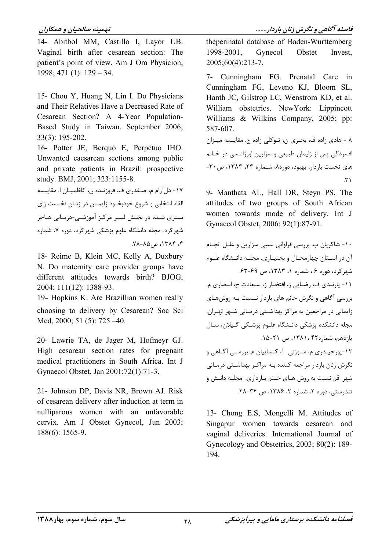#### تهمينه صالحيان و همكاران

14- Abitbol MM, Castillo I, Layor UB. Vaginal birth after cesarean section: The patient's point of view. Am J Om Physicion,  $1998; 471(1): 129-34.$ 

15- Chou Y, Huang N, Lin I. Do Physicians and Their Relatives Have a Decreased Rate of Cesarean Section? A 4-Year Population-Based Study in Taiwan. September 2006; 33(3): 195-202.

16- Potter JE, Berquó E, Perpétuo IHO. Unwanted caesarean sections among public and private patients in Brazil: prospective study. BMJ, 2001; 323:1155-8.

١٧- دل آرام م، صـفدري ف، فروزنـده ن، كاظميـان ا. مقايـسه القاء انتخابی و شروع خودبخـود زایمـان در زنـان نخـست زای بستری شـده در بخـش لیبـر مرکـز آموزشـی-درمـانی هـاجر شهر کرد. مجله دانشگاه علوم پزشکی شهر کرد، دوره ۷، شماره 

18- Reime B, Klein MC, Kelly A, Duxbury N. Do maternity care provider groups have different attitudes towards birth? BJOG, 2004; 111(12): 1388-93.

19- Hopkins K. Are Brazillian women really choosing to delivery by Cesarean? Soc Sci Med, 2000; 51 (5): 725 -40.

20- Lawrie TA, de Jager M, Hofmeyr GJ. High cesarean section rates for pregnant medical practitioners in South Africa. Int J Gynaecol Obstet, Jan 2001;72(1):71-3.

21- Johnson DP, Davis NR, Brown AJ, Risk of cesarean delivery after induction at term in nulliparous women with an unfavorable cervix. Am J Obstet Gynecol, Jun 2003;  $188(6)$ : 1565-9.

theperinatal database of Baden-Wurttemberg Gynecol 1998-2001, Obstet Invest,  $2005:60(4):213-7.$ 

7- Cunningham FG. Prenatal Care in Cunningham FG, Leveno KJ, Bloom SL, Hanth JC, Gilstrop LC, Wenstrom KD, et al. William obstetrics. NewYork: Lippincott Williams & Wilkins Company, 2005; pp: 587-607.

٨ - هادي زاده ف، بحـري ن، تـوكلي زاده ج. مقايـسه ميـزان افسردگی پس از زایمان طبیعی و سزارین اورژانسبی در خـانم های نخست باردار، بهبود، دوره۸، شـماره ۲۳، ۱۳۸۳، ص-۳۰- $\mathcal{N}$ 

9- Manthata AL, Hall DR, Stevn PS. The attitudes of two groups of South African women towards mode of delivery. Int J Gynaecol Obstet, 2006; 92(1):87-91.

۱۰- شاکریان ب. بررسی فراوانی نسبی سزارین و علـل انجـام آن در اسـتان چهارمحـال و بختيـاري. مجلــه دانــشگاه علــوم شهرکرد، دوره ۶، شماره ۱، ۱۳۸۳، ص ۶۹-۶۳. 11- پارنېدي ف، رضـايي ز، افتخـار ز، سـعادت ح، انـصاري م. بررسی آگاهی و نگرش خانم های باردار نـسبت بـه روشهـای زایمانی در مراجعین به مراکز بهداشتی درمـانی شـهر تهـران. مجله دانشکده پزشکی دانـشگاه علـوم پزشـکی گـیلان، سـال يازدهم، شماره۴۲ ،۱۳۸۱، ص ۲۱-۱۵. ۱۲-يو<sub>ر</sub>حيـد<sub>د</sub>ي م، سـوزني |آ، كـساييان م. بررسـي آگـاهي و نگرش زنان باردار مراجعه کننده بـه مراکـز بهداشـتی درمـانی شهر قم نسبت به روش هـای خـتم بـارداری. مجلـه دانـش و تندرستی، دوره ۲، شماره ۲، ۱۳۸۶، ص ۳۴-۲۸.

13- Chong E.S. Mongelli M. Attitudes of Singapur women towards cesarean and vaginal deliveries. International Journal of Gynecology and Obstetrics, 2003; 80(2): 189-194.